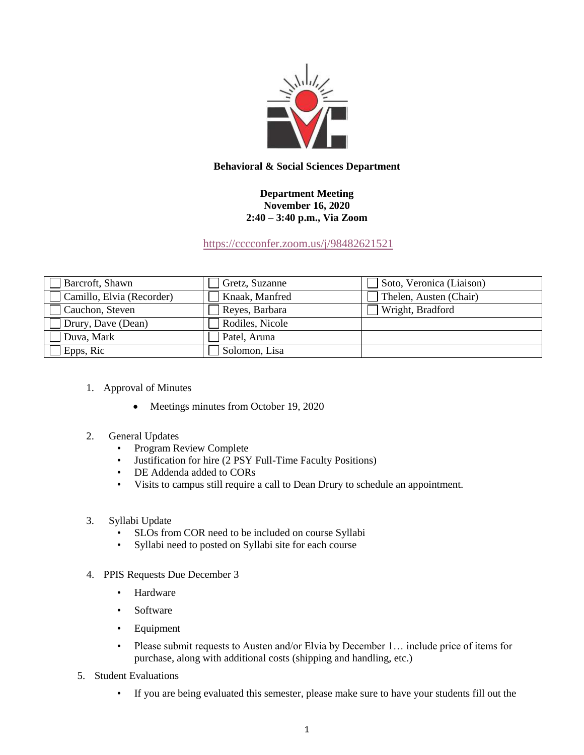

## **Behavioral & Social Sciences Department**

## **Department Meeting November 16, 2020 2:40 – 3:40 p.m., Via Zoom**

<https://cccconfer.zoom.us/j/98482621521>

| Barcroft, Shawn           | Gretz, Suzanne  | Soto, Veronica (Liaison) |
|---------------------------|-----------------|--------------------------|
| Camillo, Elvia (Recorder) | Knaak, Manfred  | Thelen, Austen (Chair)   |
| Cauchon, Steven           | Reyes, Barbara  | Wright, Bradford         |
| Drury, Dave (Dean)        | Rodiles, Nicole |                          |
| Duva, Mark                | Patel, Aruna    |                          |
| Epps, Ric                 | Solomon, Lisa   |                          |

- 1. Approval of Minutes
	- Meetings minutes from October 19, 2020
- 2. General Updates
	- Program Review Complete
	- Justification for hire (2 PSY Full-Time Faculty Positions)
	- DE Addenda added to CORs
	- Visits to campus still require a call to Dean Drury to schedule an appointment.
- 3. Syllabi Update
	- SLOs from COR need to be included on course Syllabi
	- Syllabi need to posted on Syllabi site for each course
- 4. PPIS Requests Due December 3
	- Hardware
	- Software
	- Equipment
	- Please submit requests to Austen and/or Elvia by December 1... include price of items for purchase, along with additional costs (shipping and handling, etc.)
- 5. Student Evaluations
	- If you are being evaluated this semester, please make sure to have your students fill out the